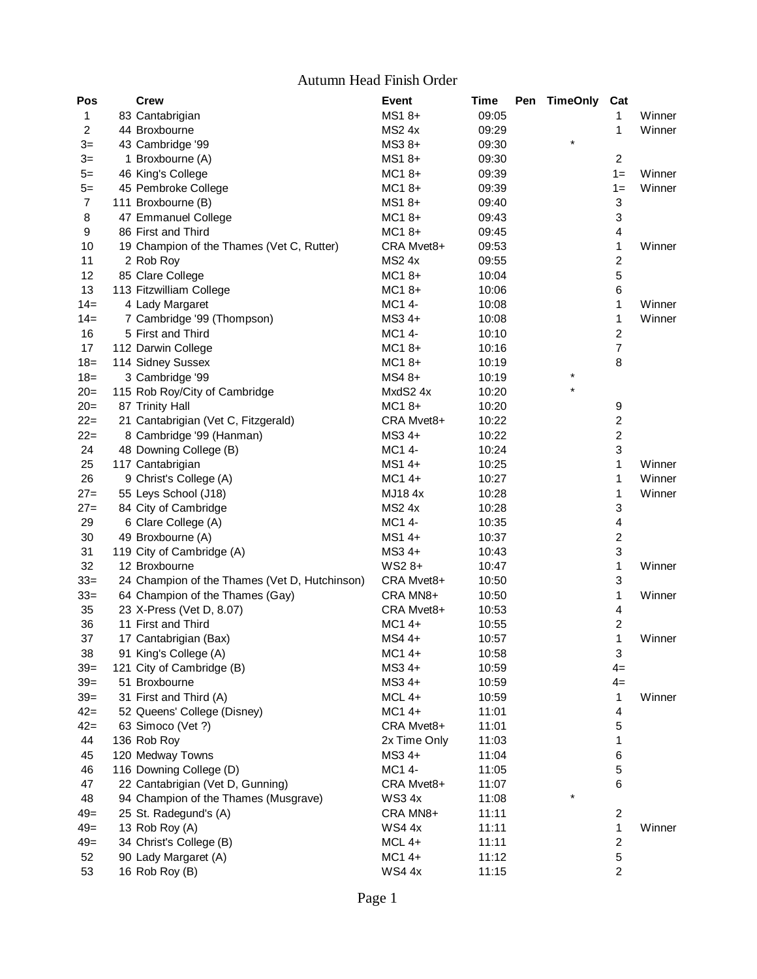## Autumn Head Finish Order

| Pos            | <b>Crew</b>                                                    | <b>Event</b>          | Time  | <b>Pen</b> | <b>TimeOnly</b> | Cat                                      |        |
|----------------|----------------------------------------------------------------|-----------------------|-------|------------|-----------------|------------------------------------------|--------|
| 1              | 83 Cantabrigian                                                | $MS18+$               | 09:05 |            |                 | 1                                        | Winner |
| 2              | 44 Broxbourne                                                  | <b>MS2 4x</b>         | 09:29 |            |                 | 1                                        | Winner |
| $3=$           | 43 Cambridge '99                                               | MS3 8+                | 09:30 |            | $\star$         |                                          |        |
| $3=$           | 1 Broxbourne (A)                                               | $MS18+$               | 09:30 |            |                 | $\overline{c}$                           |        |
| $5=$           | 46 King's College                                              | MC18+                 | 09:39 |            |                 | $1 =$                                    | Winner |
| $5=$           | 45 Pembroke College                                            | $MC18+$               | 09:39 |            |                 | $1 =$                                    | Winner |
| $\overline{7}$ | 111 Broxbourne (B)                                             | MS1 8+                | 09:40 |            |                 | $\ensuremath{\mathsf{3}}$                |        |
| 8              | 47 Emmanuel College                                            | $MC18+$               | 09:43 |            |                 | $\ensuremath{\mathsf{3}}$                |        |
| 9              | 86 First and Third                                             | MC18+                 | 09:45 |            |                 | $\overline{\mathbf{4}}$                  |        |
| 10             | 19 Champion of the Thames (Vet C, Rutter)                      | CRA Mvet8+            | 09:53 |            |                 | $\mathbf{1}$                             | Winner |
| 11             | 2 Rob Roy                                                      | <b>MS2 4x</b>         | 09:55 |            |                 | $\boldsymbol{2}$                         |        |
| 12             | 85 Clare College                                               | $MC18+$               | 10:04 |            |                 | $\mathbf 5$                              |        |
| 13             | 113 Fitzwilliam College                                        | $MC18+$               | 10:06 |            |                 | $\,6$                                    |        |
| $14=$          | 4 Lady Margaret                                                | MC1 4-                | 10:08 |            |                 | 1                                        | Winner |
| $14=$          | 7 Cambridge '99 (Thompson)                                     | $MS34+$               | 10:08 |            |                 | 1                                        | Winner |
| 16             | 5 First and Third                                              | MC1 4-                | 10:10 |            |                 | $\boldsymbol{2}$                         |        |
| 17             | 112 Darwin College                                             | $MC18+$               | 10:16 |            |                 | $\overline{7}$                           |        |
| $18 =$         | 114 Sidney Sussex                                              | $MC18+$               | 10:19 |            |                 | $\, 8$                                   |        |
| $18 =$         | 3 Cambridge '99                                                | MS4 8+                | 10:19 |            | $\star$         |                                          |        |
| $20=$          | 115 Rob Roy/City of Cambridge                                  | MxdS2 4x              | 10:20 |            |                 |                                          |        |
| $20=$          | 87 Trinity Hall                                                | $MC18+$               | 10:20 |            |                 | 9                                        |        |
| $22=$          | 21 Cantabrigian (Vet C, Fitzgerald)                            | CRA Mvet8+            | 10:22 |            |                 | $\boldsymbol{2}$                         |        |
| $22=$          | 8 Cambridge '99 (Hanman)                                       | $MS34+$               | 10:22 |            |                 | $\boldsymbol{2}$                         |        |
| 24             | 48 Downing College (B)                                         | MC1 4-                | 10:24 |            |                 | 3                                        |        |
| 25             | 117 Cantabrigian                                               | MS1 4+                | 10:25 |            |                 | 1                                        | Winner |
| 26             | 9 Christ's College (A)                                         | $MC14+$               | 10:27 |            |                 | 1                                        | Winner |
| $27=$          | 55 Leys School (J18)                                           | MJ184x                | 10:28 |            |                 | 1                                        | Winner |
| $27=$          | 84 City of Cambridge                                           | <b>MS2 4x</b>         | 10:28 |            |                 | $\ensuremath{\mathsf{3}}$                |        |
| 29             | 6 Clare College (A)                                            | MC1 4-                | 10:35 |            |                 | $\overline{\mathbf{4}}$                  |        |
| 30             | 49 Broxbourne (A)                                              | MS1 4+                | 10:37 |            |                 | $\boldsymbol{2}$                         |        |
| 31             |                                                                | MS3 4+                |       |            |                 | $\ensuremath{\mathsf{3}}$                |        |
| 32             | 119 City of Cambridge (A)                                      |                       | 10:43 |            |                 |                                          |        |
|                | 12 Broxbourne<br>24 Champion of the Thames (Vet D, Hutchinson) | $WS28+$<br>CRA Mvet8+ | 10:47 |            |                 | $\mathbf 1$<br>$\ensuremath{\mathsf{3}}$ | Winner |
| $33=$          |                                                                |                       | 10:50 |            |                 |                                          | Winner |
| $33=$          | 64 Champion of the Thames (Gay)                                | CRA MN8+              | 10:50 |            |                 | $\mathbf{1}$                             |        |
| 35             | 23 X-Press (Vet D, 8.07)                                       | CRA Mvet8+            | 10:53 |            |                 | $\overline{\mathbf{4}}$                  |        |
| 36             | 11 First and Third                                             | MC1 4+                | 10:55 |            |                 | $\overline{c}$                           |        |
| 37             | 17 Cantabrigian (Bax)                                          | $MS44+$               | 10:57 |            |                 | 1                                        | Winner |
| 38             | 91 King's College (A)                                          | MC1 4+                | 10:58 |            |                 | $\ensuremath{\mathsf{3}}$                |        |
| $39=$          | 121 City of Cambridge (B)                                      | MS3 4+                | 10:59 |            |                 | $4=$                                     |        |
| $39=$          | 51 Broxbourne                                                  | MS3 4+                | 10:59 |            |                 | $4=$                                     |        |
| $39=$          | 31 First and Third (A)                                         | MCL 4+                | 10:59 |            |                 | 1                                        | Winner |
| $42 =$         | 52 Queens' College (Disney)                                    | $MC14+$               | 11:01 |            |                 | 4                                        |        |
| $42=$          | 63 Simoco (Vet ?)                                              | CRA Mvet8+            | 11:01 |            |                 | $\mathbf 5$                              |        |
| 44             | 136 Rob Roy                                                    | 2x Time Only          | 11:03 |            |                 | 1                                        |        |
| 45             | 120 Medway Towns                                               | $MS34+$               | 11:04 |            |                 | 6                                        |        |
| 46             | 116 Downing College (D)                                        | MC1 4-                | 11:05 |            |                 | 5                                        |        |
| 47             | 22 Cantabrigian (Vet D, Gunning)                               | CRA Mvet8+            | 11:07 |            |                 | 6                                        |        |
| 48             | 94 Champion of the Thames (Musgrave)                           | <b>WS34x</b>          | 11:08 |            | $\ast$          |                                          |        |
| $49=$          | 25 St. Radegund's (A)                                          | CRA MN8+              | 11:11 |            |                 | $\overline{c}$                           |        |
| $49=$          | 13 Rob Roy (A)                                                 | <b>WS44x</b>          | 11:11 |            |                 | 1                                        | Winner |
| $49=$          | 34 Christ's College (B)                                        | MCL 4+                | 11:11 |            |                 | $\overline{c}$                           |        |
| 52             | 90 Lady Margaret (A)                                           | MC1 4+                | 11:12 |            |                 | $\mathbf 5$                              |        |
| 53             | 16 Rob Roy (B)                                                 | <b>WS44x</b>          | 11:15 |            |                 | 2                                        |        |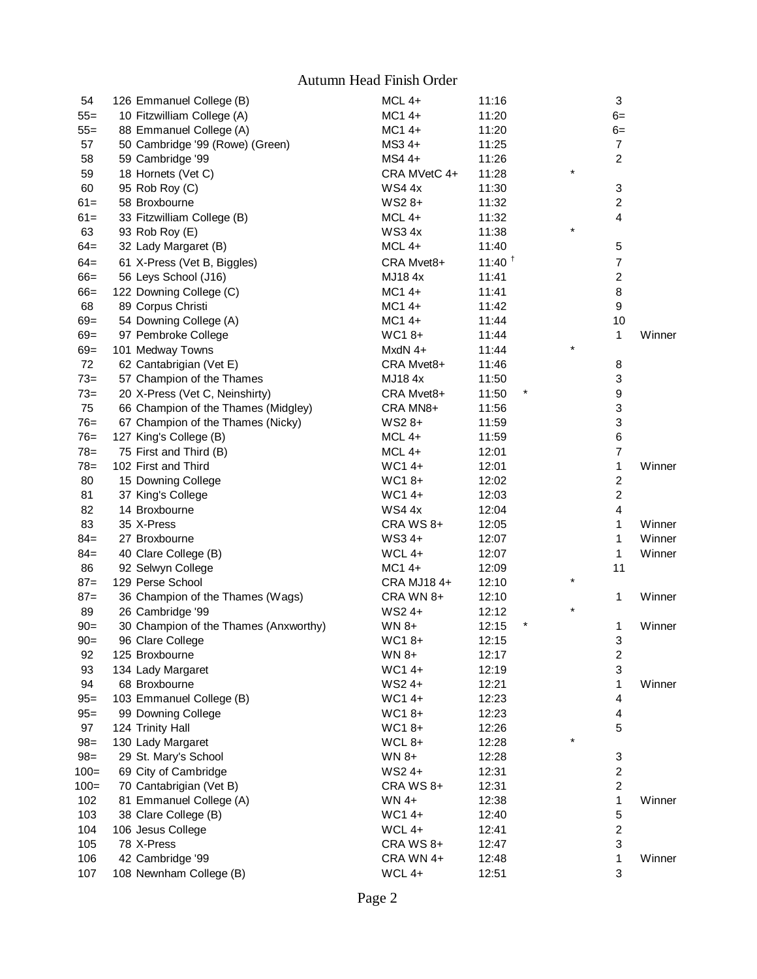Autumn Head Finish Order

| 54                 | 126 Emmanuel College (B)                  |                                       | $MCL$ 4+            | 11:16             |          | 3                       |        |
|--------------------|-------------------------------------------|---------------------------------------|---------------------|-------------------|----------|-------------------------|--------|
| $55 =$             | 10 Fitzwilliam College (A)                |                                       | MC1 4+              | 11:20             |          | $6=$                    |        |
| $55 =$             | 88 Emmanuel College (A)                   |                                       | $MC14+$             | 11:20             |          | $6=$                    |        |
| 57                 | 50 Cambridge '99 (Rowe) (Green)           |                                       | MS3 4+              | 11:25             |          | 7                       |        |
| 58                 | 59 Cambridge '99                          |                                       | $MS44+$             | 11:26             |          | $\overline{c}$          |        |
| 59                 | 18 Hornets (Vet C)                        |                                       | CRA MVetC 4+        | 11:28             | $\star$  |                         |        |
| 60                 | 95 Rob Roy (C)                            |                                       | <b>WS44x</b>        | 11:30             |          | 3                       |        |
| $61 =$             | 58 Broxbourne                             |                                       | WS2 8+              | 11:32             |          | $\overline{c}$          |        |
| $61 =$             | 33 Fitzwilliam College (B)                |                                       | MCL 4+              | 11:32             |          | $\overline{\mathbf{4}}$ |        |
| 63                 | 93 Rob Roy (E)                            |                                       | <b>WS34x</b>        | 11:38             | $\star$  |                         |        |
| $64 =$             | 32 Lady Margaret (B)                      |                                       | $MCL$ 4+            | 11:40             |          | 5                       |        |
| $64 =$             | 61 X-Press (Vet B, Biggles)               |                                       | CRA Mvet8+          | $11:40^{\dagger}$ |          | $\overline{7}$          |        |
| $66 =$             | 56 Leys School (J16)                      |                                       | MJ184x              | 11:41             |          | $\boldsymbol{2}$        |        |
| $66 =$             | 122 Downing College (C)                   |                                       | MC1 4+              | 11:41             |          | 8                       |        |
| 68                 | 89 Corpus Christi                         |                                       | $MC14+$             | 11:42             |          | $\boldsymbol{9}$        |        |
| $69 =$             | 54 Downing College (A)                    |                                       | MC1 4+              | 11:44             |          | 10                      |        |
| $69 =$             | 97 Pembroke College                       |                                       | WC18+               | 11:44             |          | 1                       | Winner |
| $69 =$             | 101 Medway Towns                          |                                       | MxdN 4+             | 11:44             | $^\star$ |                         |        |
| 72                 | 62 Cantabrigian (Vet E)                   |                                       | CRA Mvet8+          | 11:46             |          | 8                       |        |
| $73 =$             | 57 Champion of the Thames                 |                                       | MJ184x              | 11:50             |          | 3                       |        |
| $73=$              | 20 X-Press (Vet C, Neinshirty)            |                                       | CRA Mvet8+          | 11:50             |          | 9                       |        |
| 75                 | 66 Champion of the Thames (Midgley)       |                                       | CRA MN8+            | 11:56             |          | 3                       |        |
| $76=$              | 67 Champion of the Thames (Nicky)         |                                       | WS2 8+              | 11:59             |          | 3                       |        |
| $76=$              | 127 King's College (B)                    |                                       | $MCL$ 4+            | 11:59             |          | 6                       |        |
| $78 =$             | 75 First and Third (B)                    |                                       | $MCL$ 4+            | 12:01             |          | $\overline{7}$          |        |
| $78 =$             | 102 First and Third                       |                                       | WC14+               | 12:01             |          | 1                       | Winner |
| 80                 | 15 Downing College                        |                                       | WC18+               | 12:02             |          | $\boldsymbol{2}$        |        |
| 81                 | 37 King's College                         |                                       | WC14+               | 12:03             |          | $\overline{2}$          |        |
| 82                 | 14 Broxbourne                             |                                       | <b>WS4 4x</b>       | 12:04             |          | $\overline{\mathbf{4}}$ |        |
| 83                 | 35 X-Press                                |                                       | CRA WS 8+           | 12:05             |          | 1                       | Winner |
| $84 =$             | 27 Broxbourne                             |                                       | $WS34+$             | 12:07             |          | 1                       | Winner |
| $84 =$             | 40 Clare College (B)                      |                                       | $WCL4+$             | 12:07             |          | 1                       | Winner |
| 86                 | 92 Selwyn College                         |                                       | $MC14+$             | 12:09             |          | 11                      |        |
| $87=$              | 129 Perse School                          |                                       | CRA MJ184+          | 12:10             | $\star$  |                         |        |
| $87=$              | 36 Champion of the Thames (Wags)          |                                       | CRA WN 8+           | 12:10             |          | 1                       | Winner |
| 89                 | 26 Cambridge '99                          |                                       | WS2 4+              | 12:12             | $\star$  |                         |        |
| $90 =$             |                                           | 30 Champion of the Thames (Anxworthy) | WN 8+               | 12:15             |          | 1                       | Winner |
| $90=$              | 96 Clare College                          |                                       | WC18+               | 12:15             |          | 3                       |        |
| 92                 | 125 Broxbourne                            |                                       | $WN 8+$             | 12:17             |          | $\overline{\mathbf{c}}$ |        |
| 93                 | 134 Lady Margaret                         |                                       | WC14+               | 12:19             |          | 3                       |        |
| 94                 | 68 Broxbourne                             |                                       | WS2 4+              | 12:21             |          | 1                       | Winner |
| $95 =$             | 103 Emmanuel College (B)                  |                                       | WC14+               | 12:23             |          | 4                       |        |
| $95 =$             | 99 Downing College                        |                                       | WC18+               | 12:23             |          | 4                       |        |
| 97                 | 124 Trinity Hall                          |                                       | WC18+               | 12:26             |          | 5                       |        |
| $98 =$             | 130 Lady Margaret                         |                                       | WCL 8+              |                   | $\star$  |                         |        |
|                    | 29 St. Mary's School                      |                                       |                     | 12:28             |          |                         |        |
| $98 =$             |                                           |                                       | $WN 8+$             | 12:28             |          | 3<br>$\overline{c}$     |        |
| $100 =$<br>$100 =$ | 69 City of Cambridge                      |                                       | WS2 4+<br>CRA WS 8+ | 12:31             |          | $\overline{c}$          |        |
|                    | 70 Cantabrigian (Vet B)                   |                                       |                     | 12:31             |          |                         |        |
| 102<br>103         | 81 Emmanuel College (A)                   |                                       | $WN 4+$<br>WC14+    | 12:38             |          | 1                       | Winner |
| 104                | 38 Clare College (B)<br>106 Jesus College |                                       | WCL 4+              | 12:40             |          | 5<br>$\overline{c}$     |        |
| 105                | 78 X-Press                                |                                       | CRA WS 8+           | 12:41             |          | 3                       |        |
| 106                | 42 Cambridge '99                          |                                       | CRA WN 4+           | 12:47             |          | 1                       | Winner |
| 107                |                                           |                                       | WCL 4+              | 12:48             |          | 3                       |        |
|                    | 108 Newnham College (B)                   |                                       |                     | 12:51             |          |                         |        |